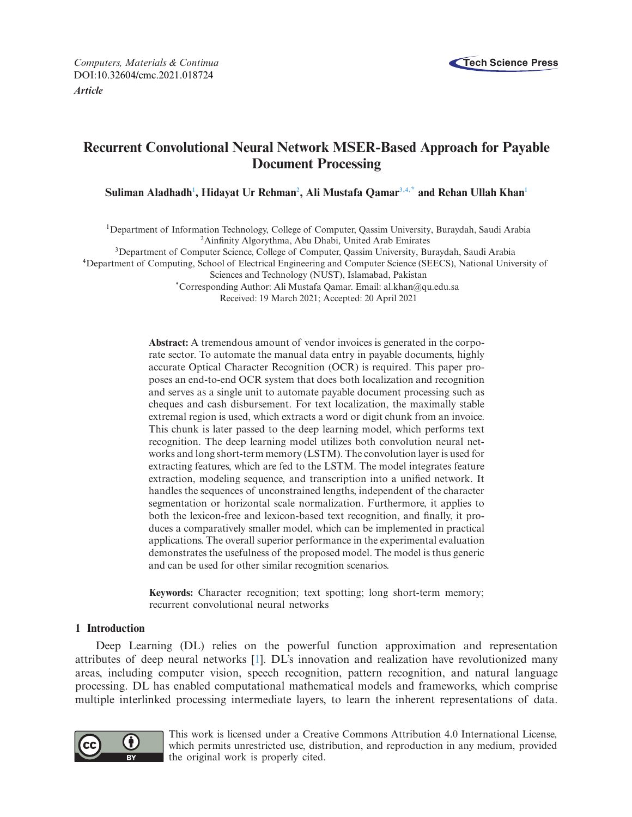

# **Recurrent Convolutional Neural Network MSER-Based Approach for Payable Document Processing**

 $\boldsymbol{\mathrm{Suliman\,\,Aladhadh^1, \,Hidayat \,Ur \, Rehman^2, \, Ali \, Mustafa \, Qamar^{3,4,*} \, and \, Rehan \, Ullah \, Khan^1}}$  $\boldsymbol{\mathrm{Suliman\,\,Aladhadh^1, \,Hidayat \,Ur \, Rehman^2, \, Ali \, Mustafa \, Qamar^{3,4,*} \, and \, Rehan \, Ullah \, Khan^1}}$  $\boldsymbol{\mathrm{Suliman\,\,Aladhadh^1, \,Hidayat \,Ur \, Rehman^2, \, Ali \, Mustafa \, Qamar^{3,4,*} \, and \, Rehan \, Ullah \, Khan^1}}$  $\boldsymbol{\mathrm{Suliman\,\,Aladhadh^1, \,Hidayat \,Ur \, Rehman^2, \, Ali \, Mustafa \, Qamar^{3,4,*} \, and \, Rehan \, Ullah \, Khan^1}}$ 

<span id="page-0-0"></span>1Department of Information Technology, College of Computer, Qassim University, Buraydah, Saudi Arabia 2Ainfinity Algorythma, Abu Dhabi, United Arab Emirates

<span id="page-0-2"></span>3Department of Computer Science, College of Computer, Qassim University, Buraydah, Saudi Arabia

<span id="page-0-3"></span>4Department of Computing, School of Electrical Engineering and Computer Science (SEECS), National University of

<span id="page-0-1"></span>Sciences and Technology (NUST), Islamabad, Pakistan

<span id="page-0-4"></span>\*Corresponding Author: Ali Mustafa Qamar. Email: al.khan@qu.edu.sa Received: 19 March 2021; Accepted: 20 April 2021

**Abstract:** A tremendous amount of vendor invoices is generated in the corporate sector. To automate the manual data entry in payable documents, highly accurate Optical Character Recognition (OCR) is required. This paper proposes an end-to-end OCR system that does both localization and recognition and serves as a single unit to automate payable document processing such as cheques and cash disbursement. For text localization, the maximally stable extremal region is used, which extracts a word or digit chunk from an invoice. This chunk is later passed to the deep learning model, which performs text recognition. The deep learning model utilizes both convolution neural networks and long short-term memory (LSTM). The convolution layer is used for extracting features, which are fed to the LSTM. The model integrates feature extraction, modeling sequence, and transcription into a unified network. It handles the sequences of unconstrained lengths, independent of the character segmentation or horizontal scale normalization. Furthermore, it applies to both the lexicon-free and lexicon-based text recognition, and finally, it produces a comparatively smaller model, which can be implemented in practical applications. The overall superior performance in the experimental evaluation demonstrates the usefulness of the proposed model. The model is thus generic and can be used for other similar recognition scenarios.

**Keywords:** Character recognition; text spotting; long short-term memory; recurrent convolutional neural networks

# **1 Introduction**

Deep Learning (DL) relies on the powerful function approximation and representation attributes of deep neural networks [\[1](#page-10-0)]. DL's innovation and realization have revolutionized many areas, including computer vision, speech recognition, pattern recognition, and natural language processing. DL has enabled computational mathematical models and frameworks, which comprise multiple interlinked processing intermediate layers, to learn the inherent representations of data.



This work is licensed under a Creative Commons Attribution 4.0 International License, which permits unrestricted use, distribution, and reproduction in any medium, provided the original work is properly cited.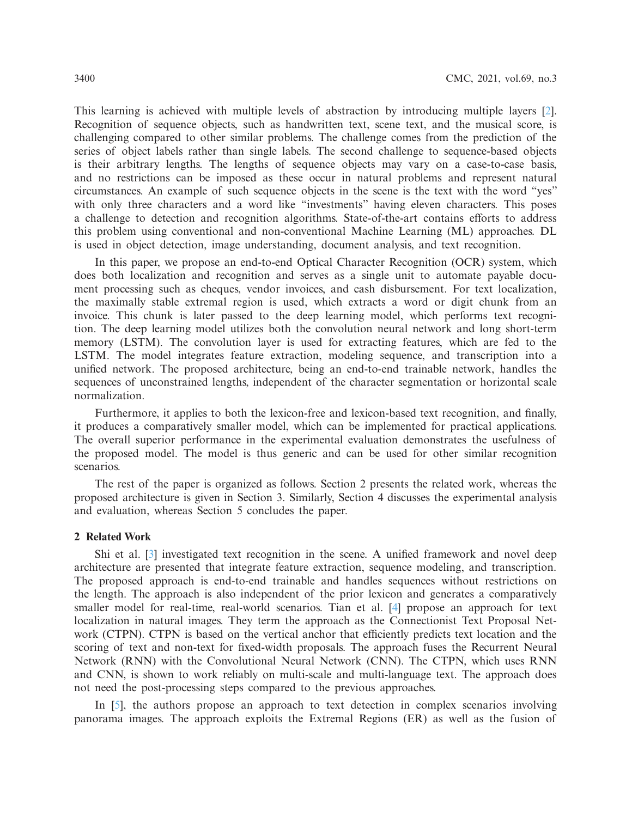This learning is achieved with multiple levels of abstraction by introducing multiple layers [\[2\]](#page-10-1). Recognition of sequence objects, such as handwritten text, scene text, and the musical score, is challenging compared to other similar problems. The challenge comes from the prediction of the series of object labels rather than single labels. The second challenge to sequence-based objects is their arbitrary lengths. The lengths of sequence objects may vary on a case-to-case basis, and no restrictions can be imposed as these occur in natural problems and represent natural circumstances. An example of such sequence objects in the scene is the text with the word "yes" with only three characters and a word like "investments" having eleven characters. This poses a challenge to detection and recognition algorithms. State-of-the-art contains efforts to address this problem using conventional and non-conventional Machine Learning (ML) approaches. DL is used in object detection, image understanding, document analysis, and text recognition.

In this paper, we propose an end-to-end Optical Character Recognition (OCR) system, which does both localization and recognition and serves as a single unit to automate payable document processing such as cheques, vendor invoices, and cash disbursement. For text localization, the maximally stable extremal region is used, which extracts a word or digit chunk from an invoice. This chunk is later passed to the deep learning model, which performs text recognition. The deep learning model utilizes both the convolution neural network and long short-term memory (LSTM). The convolution layer is used for extracting features, which are fed to the LSTM. The model integrates feature extraction, modeling sequence, and transcription into a unified network. The proposed architecture, being an end-to-end trainable network, handles the sequences of unconstrained lengths, independent of the character segmentation or horizontal scale normalization.

Furthermore, it applies to both the lexicon-free and lexicon-based text recognition, and finally, it produces a comparatively smaller model, which can be implemented for practical applications. The overall superior performance in the experimental evaluation demonstrates the usefulness of the proposed model. The model is thus generic and can be used for other similar recognition scenarios.

The rest of the paper is organized as follows. Section 2 presents the related work, whereas the proposed architecture is given in Section 3. Similarly, Section 4 discusses the experimental analysis and evaluation, whereas Section 5 concludes the paper.

# **2 Related Work**

Shi et al. [\[3](#page-10-2)] investigated text recognition in the scene. A unified framework and novel deep architecture are presented that integrate feature extraction, sequence modeling, and transcription. The proposed approach is end-to-end trainable and handles sequences without restrictions on the length. The approach is also independent of the prior lexicon and generates a comparatively smaller model for real-time, real-world scenarios. Tian et al. [\[4\]](#page-10-3) propose an approach for text localization in natural images. They term the approach as the Connectionist Text Proposal Network (CTPN). CTPN is based on the vertical anchor that efficiently predicts text location and the scoring of text and non-text for fixed-width proposals. The approach fuses the Recurrent Neural Network (RNN) with the Convolutional Neural Network (CNN). The CTPN, which uses RNN and CNN, is shown to work reliably on multi-scale and multi-language text. The approach does not need the post-processing steps compared to the previous approaches.

In [\[5\]](#page-10-4), the authors propose an approach to text detection in complex scenarios involving panorama images. The approach exploits the Extremal Regions (ER) as well as the fusion of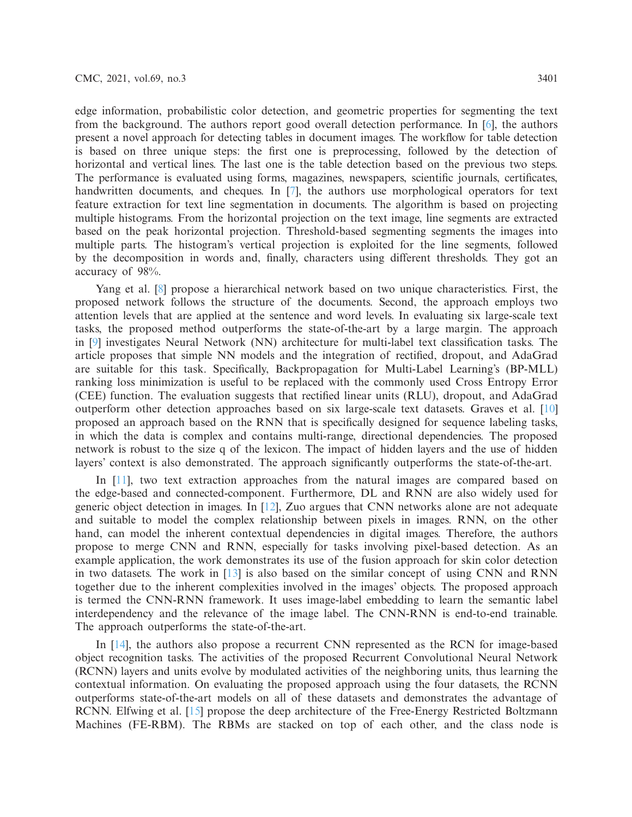edge information, probabilistic color detection, and geometric properties for segmenting the text from the background. The authors report good overall detection performance. In [\[6](#page-11-0)], the authors present a novel approach for detecting tables in document images. The workflow for table detection is based on three unique steps: the first one is preprocessing, followed by the detection of horizontal and vertical lines. The last one is the table detection based on the previous two steps. The performance is evaluated using forms, magazines, newspapers, scientific journals, certificates, handwritten documents, and cheques. In [\[7](#page-11-1)], the authors use morphological operators for text feature extraction for text line segmentation in documents. The algorithm is based on projecting multiple histograms. From the horizontal projection on the text image, line segments are extracted based on the peak horizontal projection. Threshold-based segmenting segments the images into multiple parts. The histogram's vertical projection is exploited for the line segments, followed by the decomposition in words and, finally, characters using different thresholds. They got an accuracy of 98%.

Yang et al. [\[8\]](#page-11-2) propose a hierarchical network based on two unique characteristics. First, the proposed network follows the structure of the documents. Second, the approach employs two attention levels that are applied at the sentence and word levels. In evaluating six large-scale text tasks, the proposed method outperforms the state-of-the-art by a large margin. The approach in [\[9](#page-11-3)] investigates Neural Network (NN) architecture for multi-label text classification tasks. The article proposes that simple NN models and the integration of rectified, dropout, and AdaGrad are suitable for this task. Specifically, Backpropagation for Multi-Label Learning's (BP-MLL) ranking loss minimization is useful to be replaced with the commonly used Cross Entropy Error (CEE) function. The evaluation suggests that rectified linear units (RLU), dropout, and AdaGrad outperform other detection approaches based on six large-scale text datasets. Graves et al. [\[10\]](#page-11-4) proposed an approach based on the RNN that is specifically designed for sequence labeling tasks, in which the data is complex and contains multi-range, directional dependencies. The proposed network is robust to the size q of the lexicon. The impact of hidden layers and the use of hidden layers' context is also demonstrated. The approach significantly outperforms the state-of-the-art.

In [\[11](#page-11-5)], two text extraction approaches from the natural images are compared based on the edge-based and connected-component. Furthermore, DL and RNN are also widely used for generic object detection in images. In [\[12\]](#page-11-6), Zuo argues that CNN networks alone are not adequate and suitable to model the complex relationship between pixels in images. RNN, on the other hand, can model the inherent contextual dependencies in digital images. Therefore, the authors propose to merge CNN and RNN, especially for tasks involving pixel-based detection. As an example application, the work demonstrates its use of the fusion approach for skin color detection in two datasets. The work in [\[13\]](#page-11-7) is also based on the similar concept of using CNN and RNN together due to the inherent complexities involved in the images' objects. The proposed approach is termed the CNN-RNN framework. It uses image-label embedding to learn the semantic label interdependency and the relevance of the image label. The CNN-RNN is end-to-end trainable. The approach outperforms the state-of-the-art.

In [\[14\]](#page-11-8), the authors also propose a recurrent CNN represented as the RCN for image-based object recognition tasks. The activities of the proposed Recurrent Convolutional Neural Network (RCNN) layers and units evolve by modulated activities of the neighboring units, thus learning the contextual information. On evaluating the proposed approach using the four datasets, the RCNN outperforms state-of-the-art models on all of these datasets and demonstrates the advantage of RCNN. Elfwing et al. [\[15](#page-11-9)] propose the deep architecture of the Free-Energy Restricted Boltzmann Machines (FE-RBM). The RBMs are stacked on top of each other, and the class node is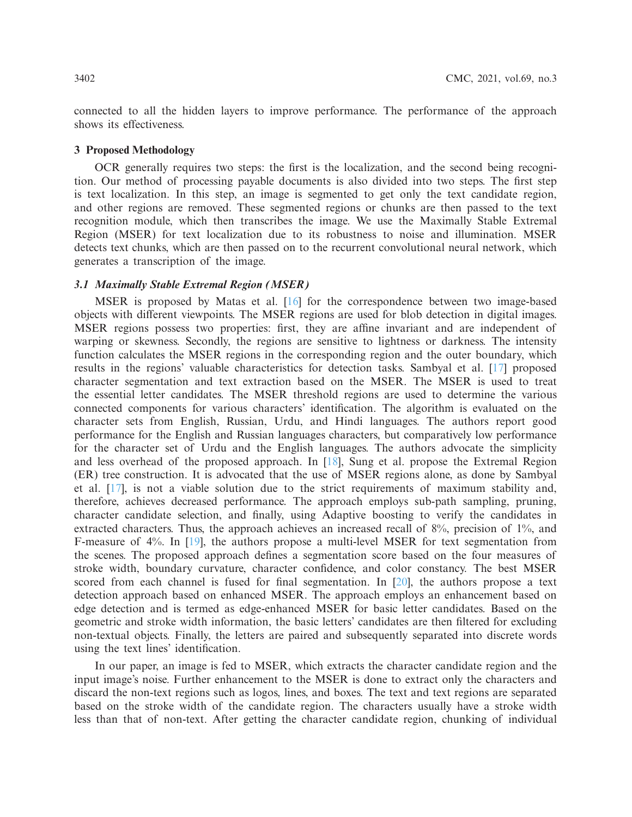connected to all the hidden layers to improve performance. The performance of the approach shows its effectiveness.

## **3 Proposed Methodology**

OCR generally requires two steps: the first is the localization, and the second being recognition. Our method of processing payable documents is also divided into two steps. The first step is text localization. In this step, an image is segmented to get only the text candidate region, and other regions are removed. These segmented regions or chunks are then passed to the text recognition module, which then transcribes the image. We use the Maximally Stable Extremal Region (MSER) for text localization due to its robustness to noise and illumination. MSER detects text chunks, which are then passed on to the recurrent convolutional neural network, which generates a transcription of the image.

## *3.1 Maximally Stable Extremal Region (MSER)*

MSER is proposed by Matas et al. [\[16](#page-11-10)] for the correspondence between two image-based objects with different viewpoints. The MSER regions are used for blob detection in digital images. MSER regions possess two properties: first, they are affine invariant and are independent of warping or skewness. Secondly, the regions are sensitive to lightness or darkness. The intensity function calculates the MSER regions in the corresponding region and the outer boundary, which results in the regions' valuable characteristics for detection tasks. Sambyal et al. [\[17](#page-11-11)] proposed character segmentation and text extraction based on the MSER. The MSER is used to treat the essential letter candidates. The MSER threshold regions are used to determine the various connected components for various characters' identification. The algorithm is evaluated on the character sets from English, Russian, Urdu, and Hindi languages. The authors report good performance for the English and Russian languages characters, but comparatively low performance for the character set of Urdu and the English languages. The authors advocate the simplicity and less overhead of the proposed approach. In [\[18\]](#page-11-12), Sung et al. propose the Extremal Region (ER) tree construction. It is advocated that the use of MSER regions alone, as done by Sambyal et al. [\[17\]](#page-11-11), is not a viable solution due to the strict requirements of maximum stability and, therefore, achieves decreased performance. The approach employs sub-path sampling, pruning, character candidate selection, and finally, using Adaptive boosting to verify the candidates in extracted characters. Thus, the approach achieves an increased recall of 8%, precision of 1%, and F-measure of 4%. In [\[19\]](#page-11-13), the authors propose a multi-level MSER for text segmentation from the scenes. The proposed approach defines a segmentation score based on the four measures of stroke width, boundary curvature, character confidence, and color constancy. The best MSER scored from each channel is fused for final segmentation. In [\[20\]](#page-11-14), the authors propose a text detection approach based on enhanced MSER. The approach employs an enhancement based on edge detection and is termed as edge-enhanced MSER for basic letter candidates. Based on the geometric and stroke width information, the basic letters' candidates are then filtered for excluding non-textual objects. Finally, the letters are paired and subsequently separated into discrete words using the text lines' identification.

In our paper, an image is fed to MSER, which extracts the character candidate region and the input image's noise. Further enhancement to the MSER is done to extract only the characters and discard the non-text regions such as logos, lines, and boxes. The text and text regions are separated based on the stroke width of the candidate region. The characters usually have a stroke width less than that of non-text. After getting the character candidate region, chunking of individual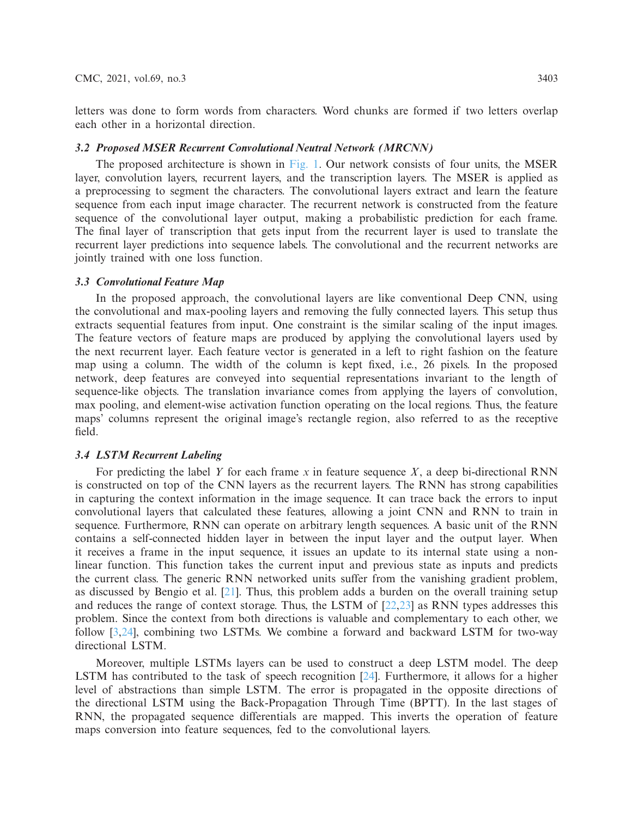letters was done to form words from characters. Word chunks are formed if two letters overlap each other in a horizontal direction.

#### *3.2 Proposed MSER Recurrent Convolutional Neutral Network (MRCNN)*

The proposed architecture is shown in [Fig. 1.](#page-5-0) Our network consists of four units, the MSER layer, convolution layers, recurrent layers, and the transcription layers. The MSER is applied as a preprocessing to segment the characters. The convolutional layers extract and learn the feature sequence from each input image character. The recurrent network is constructed from the feature sequence of the convolutional layer output, making a probabilistic prediction for each frame. The final layer of transcription that gets input from the recurrent layer is used to translate the recurrent layer predictions into sequence labels. The convolutional and the recurrent networks are jointly trained with one loss function.

## *3.3 Convolutional Feature Map*

In the proposed approach, the convolutional layers are like conventional Deep CNN, using the convolutional and max-pooling layers and removing the fully connected layers. This setup thus extracts sequential features from input. One constraint is the similar scaling of the input images. The feature vectors of feature maps are produced by applying the convolutional layers used by the next recurrent layer. Each feature vector is generated in a left to right fashion on the feature map using a column. The width of the column is kept fixed, i.e., 26 pixels. In the proposed network, deep features are conveyed into sequential representations invariant to the length of sequence-like objects. The translation invariance comes from applying the layers of convolution, max pooling, and element-wise activation function operating on the local regions. Thus, the feature maps' columns represent the original image's rectangle region, also referred to as the receptive field.

# *3.4 LSTM Recurrent Labeling*

For predicting the label *Y* for each frame *x* in feature sequence *X*, a deep bi-directional RNN is constructed on top of the CNN layers as the recurrent layers. The RNN has strong capabilities in capturing the context information in the image sequence. It can trace back the errors to input convolutional layers that calculated these features, allowing a joint CNN and RNN to train in sequence. Furthermore, RNN can operate on arbitrary length sequences. A basic unit of the RNN contains a self-connected hidden layer in between the input layer and the output layer. When it receives a frame in the input sequence, it issues an update to its internal state using a nonlinear function. This function takes the current input and previous state as inputs and predicts the current class. The generic RNN networked units suffer from the vanishing gradient problem, as discussed by Bengio et al.  $[21]$  $[21]$ . Thus, this problem adds a burden on the overall training setup and reduces the range of context storage. Thus, the LSTM of [\[22](#page-11-16)[,23](#page-11-17)] as RNN types addresses this problem. Since the context from both directions is valuable and complementary to each other, we follow [\[3](#page-10-2)[,24\]](#page-11-18), combining two LSTMs. We combine a forward and backward LSTM for two-way directional LSTM.

Moreover, multiple LSTMs layers can be used to construct a deep LSTM model. The deep LSTM has contributed to the task of speech recognition [\[24\]](#page-11-18). Furthermore, it allows for a higher level of abstractions than simple LSTM. The error is propagated in the opposite directions of the directional LSTM using the Back-Propagation Through Time (BPTT). In the last stages of RNN, the propagated sequence differentials are mapped. This inverts the operation of feature maps conversion into feature sequences, fed to the convolutional layers.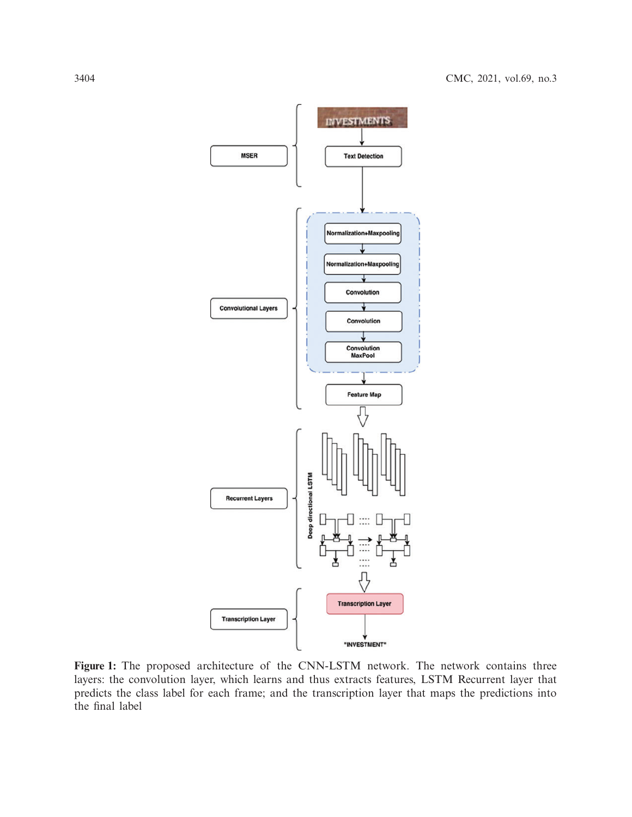

<span id="page-5-0"></span>**Figure 1:** The proposed architecture of the CNN-LSTM network. The network contains three layers: the convolution layer, which learns and thus extracts features, LSTM Recurrent layer that predicts the class label for each frame; and the transcription layer that maps the predictions into the final label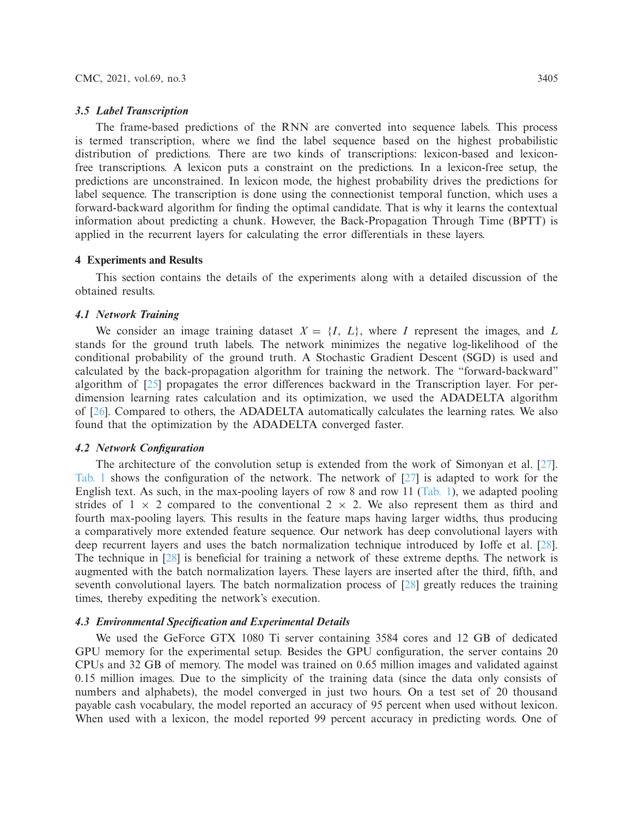#### *3.5 Label Transcription*

The frame-based predictions of the RNN are converted into sequence labels. This process is termed transcription, where we find the label sequence based on the highest probabilistic distribution of predictions. There are two kinds of transcriptions: lexicon-based and lexiconfree transcriptions. A lexicon puts a constraint on the predictions. In a lexicon-free setup, the predictions are unconstrained. In lexicon mode, the highest probability drives the predictions for label sequence. The transcription is done using the connectionist temporal function, which uses a forward-backward algorithm for finding the optimal candidate. That is why it learns the contextual information about predicting a chunk. However, the Back-Propagation Through Time (BPTT) is applied in the recurrent layers for calculating the error differentials in these layers.

## **4 Experiments and Results**

This section contains the details of the experiments along with a detailed discussion of the obtained results.

#### *4.1 Network Training*

We consider an image training dataset  $X = \{I, L\}$ , where *I* represent the images, and *L* stands for the ground truth labels. The network minimizes the negative log-likelihood of the conditional probability of the ground truth. A Stochastic Gradient Descent (SGD) is used and calculated by the back-propagation algorithm for training the network. The "forward-backward" algorithm of [\[25](#page-11-19)] propagates the error differences backward in the Transcription layer. For perdimension learning rates calculation and its optimization, we used the ADADELTA algorithm of [\[26\]](#page-12-0). Compared to others, the ADADELTA automatically calculates the learning rates. We also found that the optimization by the ADADELTA converged faster.

## *4.2 Network Configuration*

The architecture of the convolution setup is extended from the work of Simonyan et al.  $[27]$ . [Tab. 1](#page-7-0) shows the configuration of the network. The network of [\[27](#page-12-1)] is adapted to work for the English text. As such, in the max-pooling layers of row 8 and row 11 [\(Tab. 1\)](#page-7-0), we adapted pooling strides of  $1 \times 2$  compared to the conventional  $2 \times 2$ . We also represent them as third and fourth max-pooling layers. This results in the feature maps having larger widths, thus producing a comparatively more extended feature sequence. Our network has deep convolutional layers with deep recurrent layers and uses the batch normalization technique introduced by Ioffe et al. [\[28\]](#page-12-2). The technique in [\[28\]](#page-12-2) is beneficial for training a network of these extreme depths. The network is augmented with the batch normalization layers. These layers are inserted after the third, fifth, and seventh convolutional layers. The batch normalization process of [\[28](#page-12-2)] greatly reduces the training times, thereby expediting the network's execution.

## *4.3 Environmental Specification and Experimental Details*

We used the GeForce GTX 1080 Ti server containing 3584 cores and 12 GB of dedicated GPU memory for the experimental setup. Besides the GPU configuration, the server contains 20 CPUs and 32 GB of memory. The model was trained on 0.65 million images and validated against 0.15 million images. Due to the simplicity of the training data (since the data only consists of numbers and alphabets), the model converged in just two hours. On a test set of 20 thousand payable cash vocabulary, the model reported an accuracy of 95 percent when used without lexicon. When used with a lexicon, the model reported 99 percent accuracy in predicting words. One of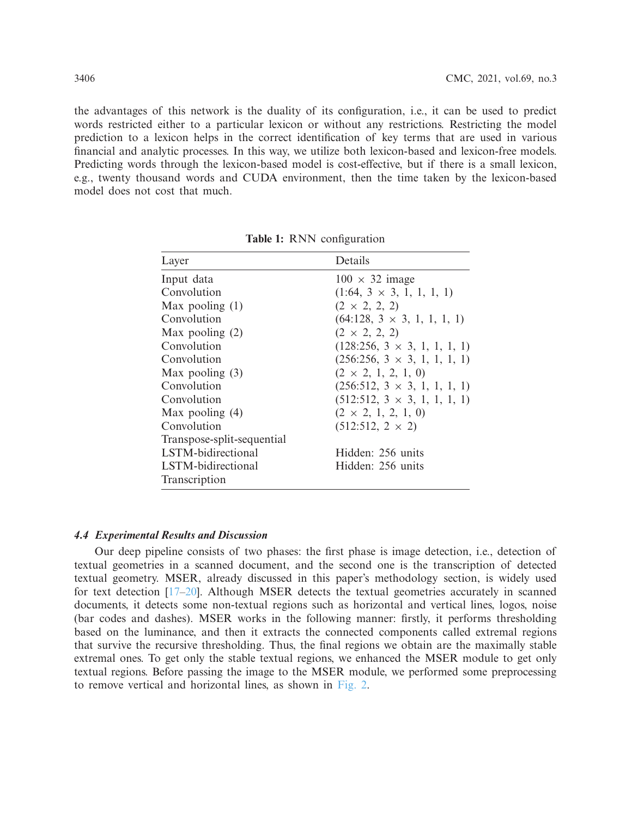the advantages of this network is the duality of its configuration, i.e., it can be used to predict words restricted either to a particular lexicon or without any restrictions. Restricting the model prediction to a lexicon helps in the correct identification of key terms that are used in various financial and analytic processes. In this way, we utilize both lexicon-based and lexicon-free models. Predicting words through the lexicon-based model is cost-effective, but if there is a small lexicon, e.g., twenty thousand words and CUDA environment, then the time taken by the lexicon-based model does not cost that much.

<span id="page-7-0"></span>

| Layer                      | Details                             |
|----------------------------|-------------------------------------|
| Input data                 | $100 \times 32$ image               |
| Convolution                | $(1:64, 3 \times 3, 1, 1, 1, 1)$    |
| Max pooling $(1)$          | $(2 \times 2, 2, 2)$                |
| Convolution                | $(64:128, 3 \times 3, 1, 1, 1, 1)$  |
| Max pooling $(2)$          | $(2 \times 2, 2, 2)$                |
| Convolution                | $(128:256, 3 \times 3, 1, 1, 1, 1)$ |
| Convolution                | $(256:256, 3 \times 3, 1, 1, 1, 1)$ |
| Max pooling $(3)$          | $(2 \times 2, 1, 2, 1, 0)$          |
| Convolution                | $(256:512, 3 \times 3, 1, 1, 1, 1)$ |
| Convolution                | $(512:512, 3 \times 3, 1, 1, 1, 1)$ |
| Max pooling $(4)$          | $(2 \times 2, 1, 2, 1, 0)$          |
| Convolution                | $(512:512, 2 \times 2)$             |
| Transpose-split-sequential |                                     |
| LSTM-bidirectional         | Hidden: 256 units                   |
| LSTM-bidirectional         | Hidden: 256 units                   |
| Transcription              |                                     |

**Table 1:** RNN configuration

## *4.4 Experimental Results and Discussion*

Our deep pipeline consists of two phases: the first phase is image detection, i.e., detection of textual geometries in a scanned document, and the second one is the transcription of detected textual geometry. MSER, already discussed in this paper's methodology section, is widely used for text detection [\[17](#page-11-11)[–20\]](#page-11-14). Although MSER detects the textual geometries accurately in scanned documents, it detects some non-textual regions such as horizontal and vertical lines, logos, noise (bar codes and dashes). MSER works in the following manner: firstly, it performs thresholding based on the luminance, and then it extracts the connected components called extremal regions that survive the recursive thresholding. Thus, the final regions we obtain are the maximally stable extremal ones. To get only the stable textual regions, we enhanced the MSER module to get only textual regions. Before passing the image to the MSER module, we performed some preprocessing to remove vertical and horizontal lines, as shown in [Fig. 2.](#page-8-0)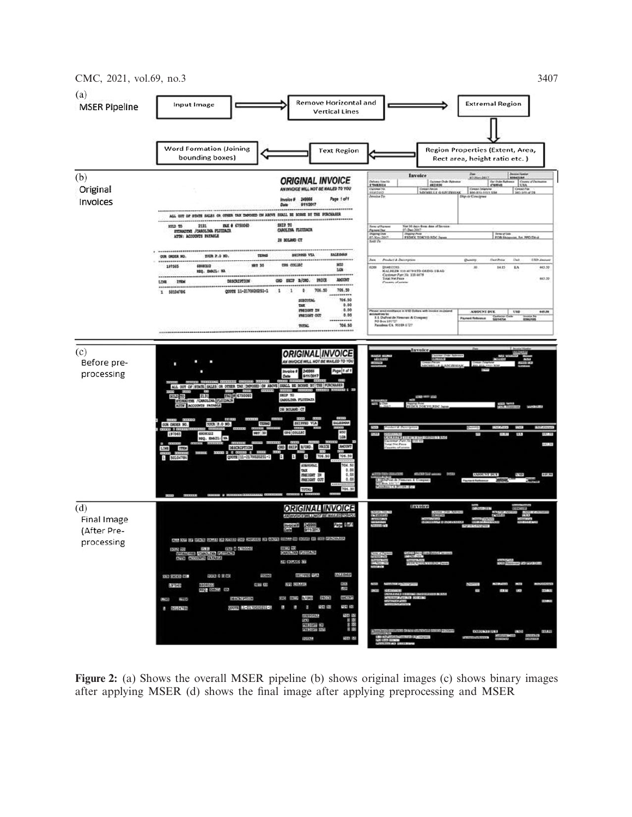

<span id="page-8-0"></span>**Figure 2:** (a) Shows the overall MSER pipeline (b) shows original images (c) shows binary images after applying MSER (d) shows the final image after applying preprocessing and MSER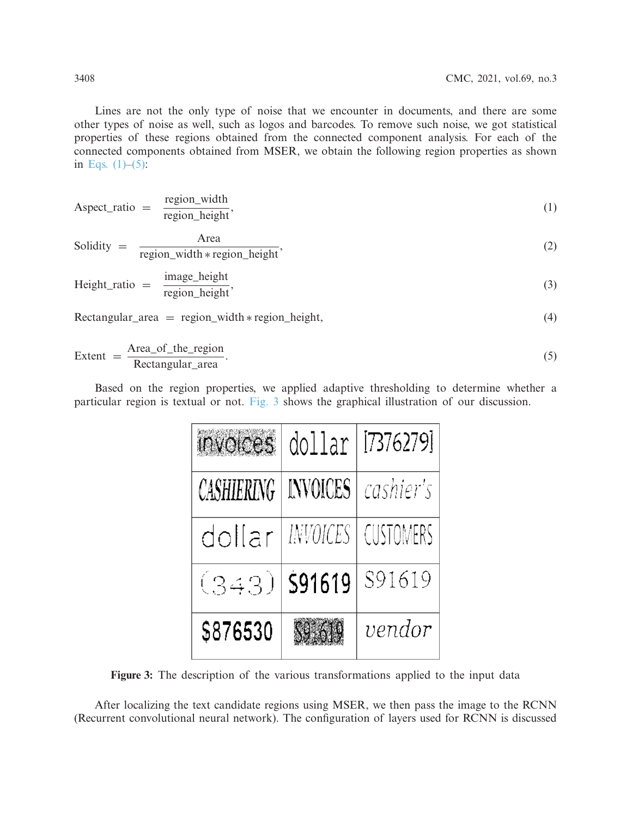Lines are not the only type of noise that we encounter in documents, and there are some other types of noise as well, such as logos and barcodes. To remove such noise, we got statistical properties of these regions obtained from the connected component analysis. For each of the connected components obtained from MSER, we obtain the following region properties as shown in Eqs.  $(1)$ – $(5)$ :

<span id="page-9-0"></span>Aspect\_rate = 
$$
\frac{\text{region\_width}}{\text{region\_height}}
$$
,  
\nSolidity =  $\frac{\text{Area}}{\text{region\_width} * \text{region\_height}}$ ,  
\nHeight\_rate =  $\frac{\text{image\_height}}{\text{region\_height}}$ ,  
\nRectangular\_rate =  $\text{region\_width} * \text{region\_height}$ ,  
\n(3)

<span id="page-9-1"></span>
$$
Extent = \frac{Area_of_{the\_region}}{Rectangular_{area}}.
$$
\n(5)

Based on the region properties, we applied adaptive thresholding to determine whether a particular region is textual or not. [Fig. 3](#page-9-2) shows the graphical illustration of our discussion.

| <b>Invoices</b> | dollar          | [7376279]        |
|-----------------|-----------------|------------------|
| CASHIERING      | <b>INVOICES</b> | cashier's        |
| dollar          | INVOICES        | <b>CUSTOMERS</b> |
| (343)           | \$91619         | S91619           |
| \$876530        |                 | vendor           |

<span id="page-9-2"></span>**Figure 3:** The description of the various transformations applied to the input data

After localizing the text candidate regions using MSER, we then pass the image to the RCNN (Recurrent convolutional neural network). The configuration of layers used for RCNN is discussed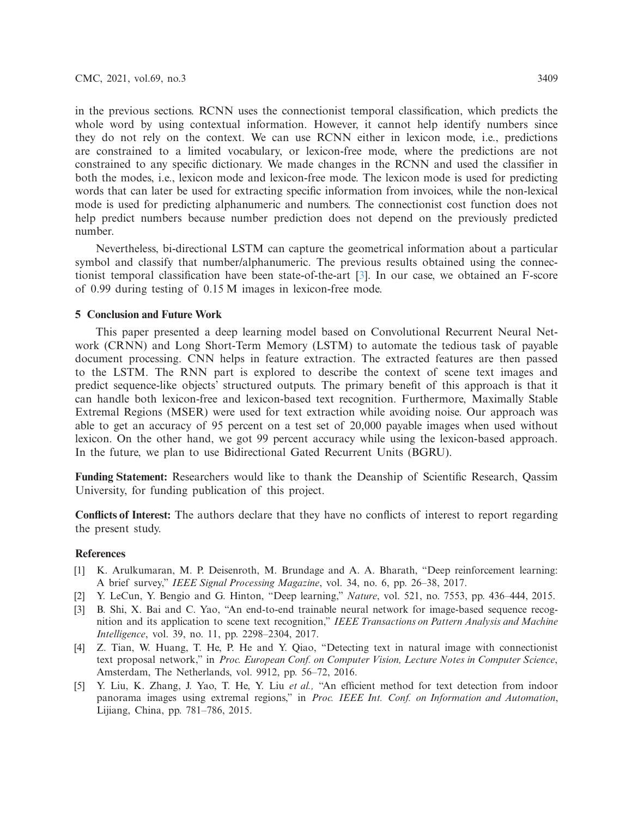in the previous sections. RCNN uses the connectionist temporal classification, which predicts the whole word by using contextual information. However, it cannot help identify numbers since they do not rely on the context. We can use RCNN either in lexicon mode, i.e., predictions are constrained to a limited vocabulary, or lexicon-free mode, where the predictions are not constrained to any specific dictionary. We made changes in the RCNN and used the classifier in both the modes, i.e., lexicon mode and lexicon-free mode. The lexicon mode is used for predicting words that can later be used for extracting specific information from invoices, while the non-lexical mode is used for predicting alphanumeric and numbers. The connectionist cost function does not help predict numbers because number prediction does not depend on the previously predicted number.

Nevertheless, bi-directional LSTM can capture the geometrical information about a particular symbol and classify that number/alphanumeric. The previous results obtained using the connectionist temporal classification have been state-of-the-art [\[3](#page-10-2)]. In our case, we obtained an F-score of 0.99 during testing of 0.15 M images in lexicon-free mode.

# **5 Conclusion and Future Work**

This paper presented a deep learning model based on Convolutional Recurrent Neural Network (CRNN) and Long Short-Term Memory (LSTM) to automate the tedious task of payable document processing. CNN helps in feature extraction. The extracted features are then passed to the LSTM. The RNN part is explored to describe the context of scene text images and predict sequence-like objects' structured outputs. The primary benefit of this approach is that it can handle both lexicon-free and lexicon-based text recognition. Furthermore, Maximally Stable Extremal Regions (MSER) were used for text extraction while avoiding noise. Our approach was able to get an accuracy of 95 percent on a test set of 20,000 payable images when used without lexicon. On the other hand, we got 99 percent accuracy while using the lexicon-based approach. In the future, we plan to use Bidirectional Gated Recurrent Units (BGRU).

**Funding Statement:** Researchers would like to thank the Deanship of Scientific Research, Qassim University, for funding publication of this project.

**Conflicts of Interest:** The authors declare that they have no conflicts of interest to report regarding the present study.

## **References**

- <span id="page-10-0"></span>[1] K. Arulkumaran, M. P. Deisenroth, M. Brundage and A. A. Bharath, "Deep reinforcement learning: A brief survey," *IEEE Signal Processing Magazine*, vol. 34, no. 6, pp. 26–38, 2017.
- <span id="page-10-1"></span>[2] Y. LeCun, Y. Bengio and G. Hinton, "Deep learning," *Nature*, vol. 521, no. 7553, pp. 436–444, 2015.
- <span id="page-10-2"></span>[3] B. Shi, X. Bai and C. Yao, "An end-to-end trainable neural network for image-based sequence recognition and its application to scene text recognition," *IEEE Transactions on Pattern Analysis and Machine Intelligence*, vol. 39, no. 11, pp. 2298–2304, 2017.
- <span id="page-10-3"></span>[4] Z. Tian, W. Huang, T. He, P. He and Y. Qiao, "Detecting text in natural image with connectionist text proposal network," in *Proc. European Conf. on Computer Vision, Lecture Notes in Computer Science*, Amsterdam, The Netherlands, vol. 9912, pp. 56–72, 2016.
- <span id="page-10-4"></span>[5] Y. Liu, K. Zhang, J. Yao, T. He, Y. Liu *et al.,* "An efficient method for text detection from indoor panorama images using extremal regions," in *Proc. IEEE Int. Conf. on Information and Automation*, Lijiang, China, pp. 781–786, 2015.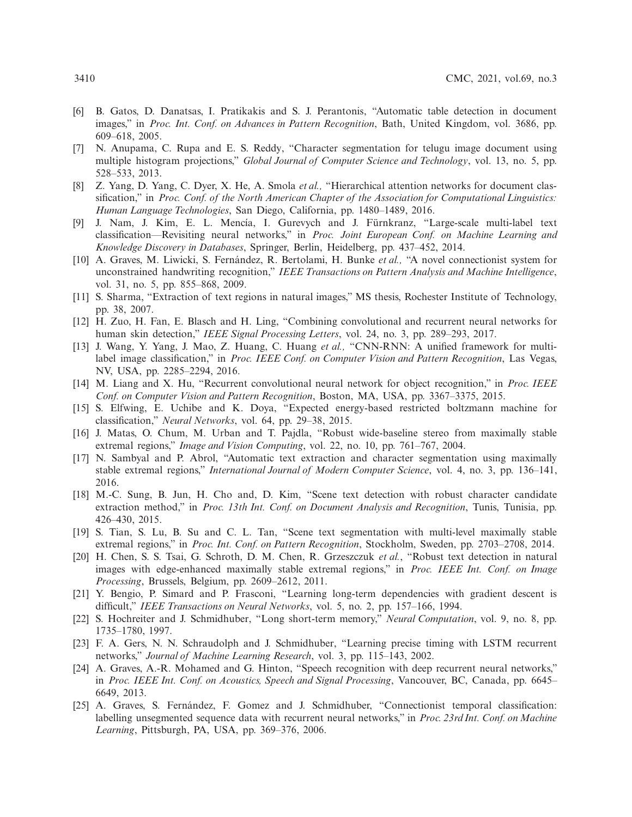- <span id="page-11-0"></span>[6] B. Gatos, D. Danatsas, I. Pratikakis and S. J. Perantonis, "Automatic table detection in document images," in *Proc. Int. Conf. on Advances in Pattern Recognition*, Bath, United Kingdom, vol. 3686, pp. 609–618, 2005.
- <span id="page-11-1"></span>[7] N. Anupama, C. Rupa and E. S. Reddy, "Character segmentation for telugu image document using multiple histogram projections," *Global Journal of Computer Science and Technology*, vol. 13, no. 5, pp. 528–533, 2013.
- <span id="page-11-2"></span>[8] Z. Yang, D. Yang, C. Dyer, X. He, A. Smola *et al.,* "Hierarchical attention networks for document classification," in *Proc. Conf. of the North American Chapter of the Association for Computational Linguistics: Human Language Technologies*, San Diego, California, pp. 1480–1489, 2016.
- <span id="page-11-3"></span>[9] J. Nam, J. Kim, E. L. Mencía, I. Gurevych and J. Fürnkranz, "Large-scale multi-label text classification—Revisiting neural networks," in *Proc. Joint European Conf. on Machine Learning and Knowledge Discovery in Databases*, Springer, Berlin, Heidelberg, pp. 437–452, 2014.
- <span id="page-11-4"></span>[10] A. Graves, M. Liwicki, S. Fernández, R. Bertolami, H. Bunke *et al.,* "A novel connectionist system for unconstrained handwriting recognition," *IEEE Transactions on Pattern Analysis and Machine Intelligence*, vol. 31, no. 5, pp. 855–868, 2009.
- <span id="page-11-5"></span>[11] S. Sharma, "Extraction of text regions in natural images," MS thesis, Rochester Institute of Technology, pp. 38, 2007.
- <span id="page-11-6"></span>[12] H. Zuo, H. Fan, E. Blasch and H. Ling, "Combining convolutional and recurrent neural networks for human skin detection," *IEEE Signal Processing Letters*, vol. 24, no. 3, pp. 289–293, 2017.
- <span id="page-11-7"></span>[13] J. Wang, Y. Yang, J. Mao, Z. Huang, C. Huang *et al.,* "CNN-RNN: A unified framework for multilabel image classification," in *Proc. IEEE Conf. on Computer Vision and Pattern Recognition*, Las Vegas, NV, USA, pp. 2285–2294, 2016.
- <span id="page-11-8"></span>[14] M. Liang and X. Hu, "Recurrent convolutional neural network for object recognition," in *Proc. IEEE Conf. on Computer Vision and Pattern Recognition*, Boston, MA, USA, pp. 3367–3375, 2015.
- <span id="page-11-9"></span>[15] S. Elfwing, E. Uchibe and K. Doya, "Expected energy-based restricted boltzmann machine for classification," *Neural Networks*, vol. 64, pp. 29–38, 2015.
- <span id="page-11-10"></span>[16] J. Matas, O. Chum, M. Urban and T. Pajdla, "Robust wide-baseline stereo from maximally stable extremal regions," *Image and Vision Computing*, vol. 22, no. 10, pp. 761–767, 2004.
- <span id="page-11-11"></span>[17] N. Sambyal and P. Abrol, "Automatic text extraction and character segmentation using maximally stable extremal regions," *International Journal of Modern Computer Science*, vol. 4, no. 3, pp. 136–141, 2016.
- <span id="page-11-12"></span>[18] M.-C. Sung, B. Jun, H. Cho and, D. Kim, "Scene text detection with robust character candidate extraction method," in *Proc. 13th Int. Conf. on Document Analysis and Recognition*, Tunis, Tunisia, pp. 426–430, 2015.
- <span id="page-11-13"></span>[19] S. Tian, S. Lu, B. Su and C. L. Tan, "Scene text segmentation with multi-level maximally stable extremal regions," in *Proc. Int. Conf. on Pattern Recognition*, Stockholm, Sweden, pp. 2703–2708, 2014.
- <span id="page-11-14"></span>[20] H. Chen, S. S. Tsai, G. Schroth, D. M. Chen, R. Grzeszczuk *et al.*, "Robust text detection in natural images with edge-enhanced maximally stable extremal regions," in *Proc. IEEE Int. Conf. on Image Processing*, Brussels, Belgium, pp. 2609–2612, 2011.
- <span id="page-11-15"></span>[21] Y. Bengio, P. Simard and P. Frasconi, "Learning long-term dependencies with gradient descent is difficult," *IEEE Transactions on Neural Networks*, vol. 5, no. 2, pp. 157–166, 1994.
- <span id="page-11-16"></span>[22] S. Hochreiter and J. Schmidhuber, "Long short-term memory," *Neural Computation*, vol. 9, no. 8, pp. 1735–1780, 1997.
- <span id="page-11-17"></span>[23] F. A. Gers, N. N. Schraudolph and J. Schmidhuber, "Learning precise timing with LSTM recurrent networks," *Journal of Machine Learning Research*, vol. 3, pp. 115–143, 2002.
- <span id="page-11-18"></span>[24] A. Graves, A.-R. Mohamed and G. Hinton, "Speech recognition with deep recurrent neural networks," in *Proc. IEEE Int. Conf. on Acoustics, Speech and Signal Processing*, Vancouver, BC, Canada, pp. 6645– 6649, 2013.
- <span id="page-11-19"></span>[25] A. Graves, S. Fernández, F. Gomez and J. Schmidhuber, "Connectionist temporal classification: labelling unsegmented sequence data with recurrent neural networks," in *Proc. 23rd Int. Conf. on Machine Learning*, Pittsburgh, PA, USA, pp. 369–376, 2006.